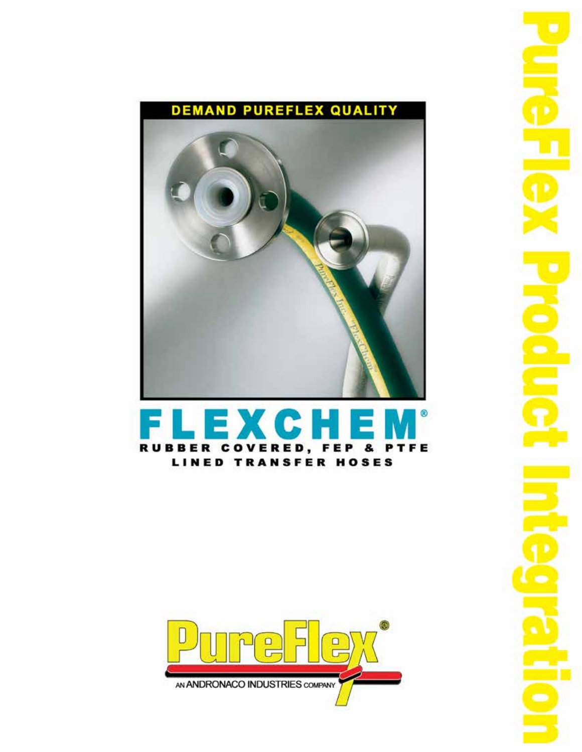

#### Ε  $EXC$ Hal RUBBER COVERED, FEP PTFE 8. **LINED TRANSFER HOSES**

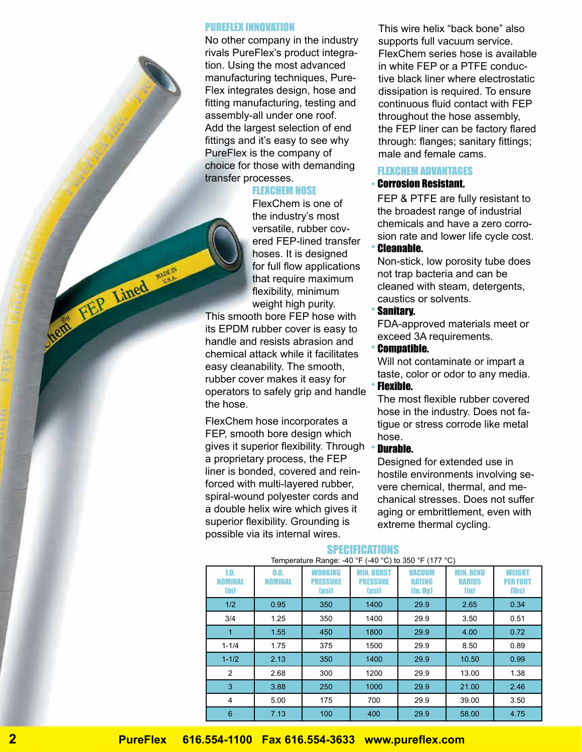#### PUREFLEX INNOVATION

No other company in the industry rivals PureFlex's product integration. Using the most advanced manufacturing techniques, Pure-Flex integrates design, hose and fitting manufacturing, testing and assembly-all under one roof. Add the largest selection of end fittings and it's easy to see why PureFlex is the company of choice for those with demanding transfer processes.

# FLEXCHEM HOSE

FlexChem is one of the industry's most versatile, rubber covered FEP-lined transfer hoses. It is designed for full flow applications that require maximum flexibility, minimum weight high purity.

This smooth bore FEP hose with its EPDM rubber cover is easy to handle and resists abrasion and chemical attack while it facilitates easy cleanability. The smooth, rubber cover makes it easy for operators to safely grip and handle the hose.

Ment Hap Lined war

FlexChem hose incorporates a FEP, smooth bore design which gives it superior flexibility. Through •a proprietary process, the FEP liner is bonded, covered and reinforced with multi-layered rubber, spiral-wound polyester cords and a double helix wire which gives it superior flexibility. Grounding is possible via its internal wires.

This wire helix "back bone" also supports full vacuum service. FlexChem series hose is available in white FEP or a PTFE conductive black liner where electrostatic dissipation is required. To ensure continuous fluid contact with FEP throughout the hose assembly, the FEP liner can be factory flared through: flanges; sanitary fittings; male and female cams.

# **FI FXCHEM ADVANTAGES**

#### Corrosion Resistant. •

FEP & PTFE are fully resistant to the broadest range of industrial chemicals and have a zero corrosion rate and lower life cycle cost.

#### Cleanable.

•

•

•

Non-stick, low porosity tube does not trap bacteria and can be cleaned with steam, detergents, caustics or solvents.

#### Sanitary. •

FDA-approved materials meet or exceed 3A requirements.

## Compatible.

Will not contaminate or impart a taste, color or odor to any media. Flexible.

The most flexible rubber covered hose in the industry. Does not fatigue or stress corrode like metal hose.

#### Durable.

Designed for extended use in hostile environments involving severe chemical, thermal, and mechanical stresses. Does not suffer aging or embrittlement, even with extreme thermal cycling.

#### **SPECIFICATIONS**

| LD.<br>NOMINAL<br>(in) | 0.D.<br><b>NOMINAL</b> | WORKING<br><b>PRESSURE</b><br>(psi) | <b>MIN. BURST</b><br><b>PRESSURE</b><br>(psi) | <b>VACUUM</b><br><b>RATING</b><br>(in. Hg) | <b>MIN. BEND</b><br><b>RADIUS</b><br>(in) | WEIGHT<br><b>PER FOOT</b><br>(lbs) |
|------------------------|------------------------|-------------------------------------|-----------------------------------------------|--------------------------------------------|-------------------------------------------|------------------------------------|
| 1/2                    | 0.95                   | 350                                 | 1400                                          | 29.9                                       | 2.65                                      | 0.34                               |
| 3/4                    | 1.25                   | 350                                 | 1400                                          | 29.9                                       | 3.50                                      | 0.51                               |
| 1                      | 1.55                   | 450                                 | 1800                                          | 29.9                                       | 4.00                                      | 0.72                               |
| $1 - 1/4$              | 1.75                   | 375                                 | 1500                                          | 29.9                                       | 8.50                                      | 0.89                               |
| $1 - 1/2$              | 2.13                   | 350                                 | 1400                                          | 29.9                                       | 10.50                                     | 0.99                               |
| 2                      | 2.68                   | 300                                 | 1200                                          | 29.9                                       | 13.00                                     | 1.38                               |
| 3                      | 3.88                   | 250                                 | 1000                                          | 29.9                                       | 21.00                                     | 2.46                               |
| 4                      | 5.00                   | 175                                 | 700                                           | 29.9                                       | 39.00                                     | 3.50                               |
| 6                      | 7.13                   | 100                                 | 400                                           | 29.9                                       | 58.00                                     | 4.75                               |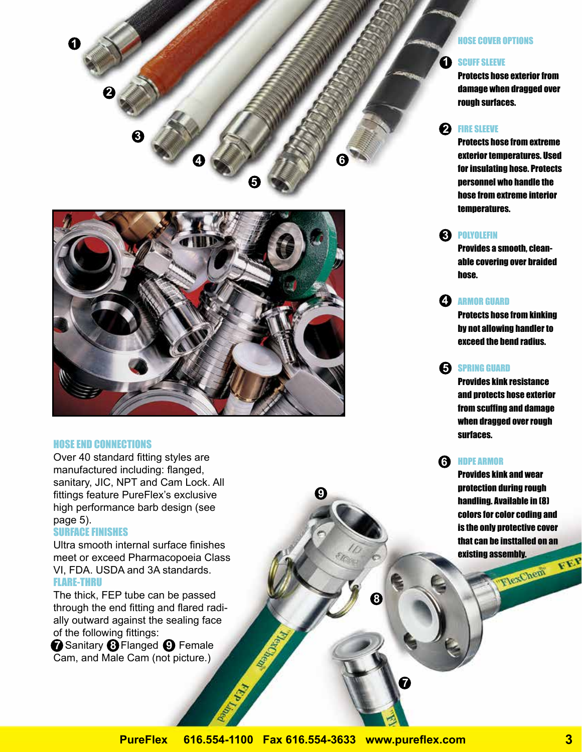



#### HOSE END CONNECTIONS

Over 40 standard fitting styles are manufactured including: flanged, sanitary, JIC, NPT and Cam Lock. All fittings feature PureFlex's exclusive high performance barb design (see page 5).

## SURFACE FINISHES

Ultra smooth internal surface finishes meet or exceed Pharmacopoeia Class VI, FDA. USDA and 3A standards. FLARE-THRU

The thick, FEP tube can be passed through the end fitting and flared radially outward against the sealing face of the following fittings: **7** Sanitary **8** Flanged **9** Female

Cam, and Male Cam (not picture.)

#### HOSE COVER OPTIONS

#### SCUFF SLEEVE **1**

Protects hose exterior from damage when dragged over rough surfaces.

# 2 FIRE SLEEVE

Protects hose from extreme exterior temperatures. Used for insulating hose. Protects personnel who handle the hose from extreme interior temperatures.

# **3** POLYOLEFIN

Provides a smooth, cleanable covering over braided hose.

# ARMOR GUARD **4**

Protects hose from kinking by not allowing handler to exceed the bend radius.

# **5** SPRING GUARD

Provides kink resistance and protects hose exterior from scuffing and damage when dragged over rough surfaces.

# HDPE ARMOR **6**

Provides kink and wear protection during rough handling. Available in (8) colors for color coding and is the only protective cover that can be insttalled on an existing assembly.<br>Existing and car Cheni F. E.P.

**SP** 

**9**

**8** 

**7**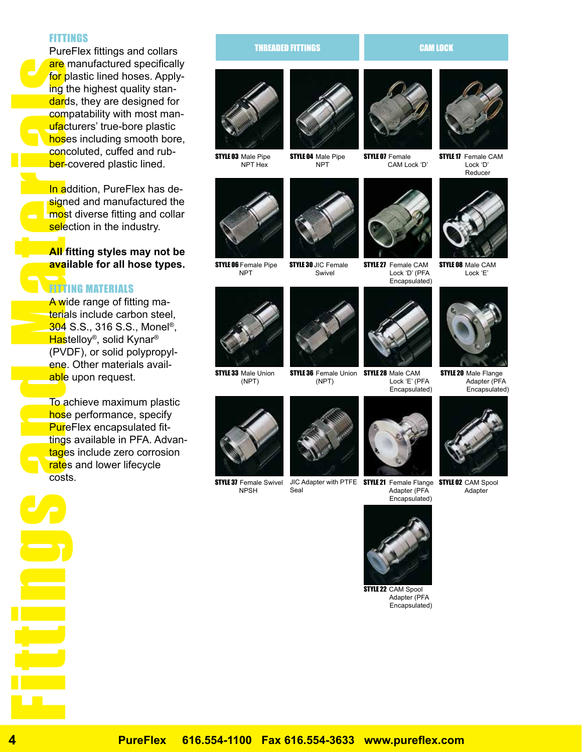#### FITTINGS

PureFlex fittings and collars are manufactured specifically for plastic lined hoses. Applying the highest quality standards, they are designed for compatability with most manufacturers' true-bore plastic hoses including smooth bore, concoluted, cuffed and rubber-covered plastic lined.

In addition, PureFlex has designed and manufactured the most diverse fitting and collar selection in the industry.

## **All fitting styles may not be available for all hose types.**

# **FITTING MATERIALS**

A wide range of fitting materials include carbon steel. **304 S.S., 316 S.S., Monel<sup>®</sup>,** Hastelloy<sup>®</sup>, solid Kynar<sup>®</sup> (PVDF), or solid polypropylene. Other materials available upon request.

To achieve maximum plastic hose performance, specify PureFlex encapsulated fittings available in PFA. Advantages include zero corrosion rates and lower lifecycle costs.

# Figure 11.8 and Materials and Hast (PVI) and Materials and Hast (PVI) and Materials and Hast (PVI) and Materials costs and Hast costs and Hast costs and Hast costs and Hast costs and Hast costs and Hast costs and Hast cost **Example 19**<br>Figure 19<br>
In add most using the compact that compare<br>
In add most select and signe<br> **All fittings**<br>
A wide that avail that avail that avail that avail that avail that avail<br>
To accept these<br>
To accept these<br>

#### THREADED FITTINGS **CAM LOCK**



**STYLE 03** Male Pipe NPT Hex





STYLE O6 Female Pipe NPT





**STYLE 33 Male Union** (NPT)



STYLE 37 Female Swivel NPSH



Seal



**STYLE 07 Female** CAM Lock 'D'



**STYLE 27** Female CAM Lock 'D' (PFA



STYLE 36 Female Union STYLE 28 Male CAM Lock 'E' (PFA Encapsulated)





STYLE 08 Male CAM Lock 'E'



**STYLE 20 Male Flange**  Adapter (PFA Encapsulated)



JIC Adapter with PTFE **STYLE 21** Female Flange **STYLE 02** CAM Spool Adapter



 Adapter (PFA Encapsulated)

**STYLE 22 CAM Spool**  Adapter (PFA Encapsulated)





**4 PureFlex 616.554-1100 Fax 616.554-3633 www.pureflex.com**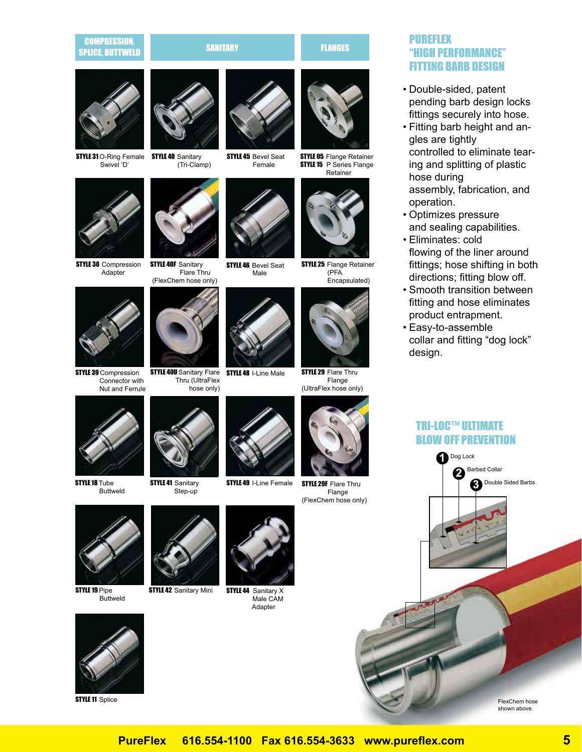#### COMPRESSION, **SPLICE, BUTTWELD SANITARY SANITARY FLANGES**<br>Splice, Buttweld





**STYLE 31** O-Ring Female **STYLE 40** Sanitary Swivel 'D'









**STYLE 40F Sanitary**  Flare Thru (FlexChem hose only)



STYLE 39 Compression Connector with Nut and Ferrule





**STYLE 45 Bevel Seat** Female



**STYLE 46 Bevel Seat** Male



**STYLE 05 Flange Retainer STYLE 15** P Series Flange Retainer



**STYLE 25 Flange Retainer**  (PFA Encapsulated)



**STYLE 29 Flare Thru**  Flange (UltraFlex hose only)



**STYLE 29F Flare Thru** Flange

# PUREFLEX "HIGH PERFORMANCE" FITTING BARB DESIGN

- Double-sided, patent pending barb design locks fittings securely into hose.
- Fitting barb height and an-• gles are tightly controlled to eliminate tearing and splitting of plastic hose during assembly, fabrication, and operation.
- Optimizes pressure and sealing capabilities.
- Eliminates: cold flowing of the liner around fittings; hose shifting in both directions; fitting blow off.
- Smooth transition between fitting and hose eliminates product entrapment.
- Easy-to-assemble collar and fitting "dog lock" design.

# TRI-LOC™ ULTIMATE BLOW OFF PREVENTION



shown above.



STYLE 18 Tube

Buttweld



**STYLE 41 Sanitary** Step-up

**STYLE 42 Sanitary Mini** 



**STYLE 44** Sanitary X Male CAM Adapter



**STYLE 11 Splice** 



**STYLE 49 I-Line Female** 

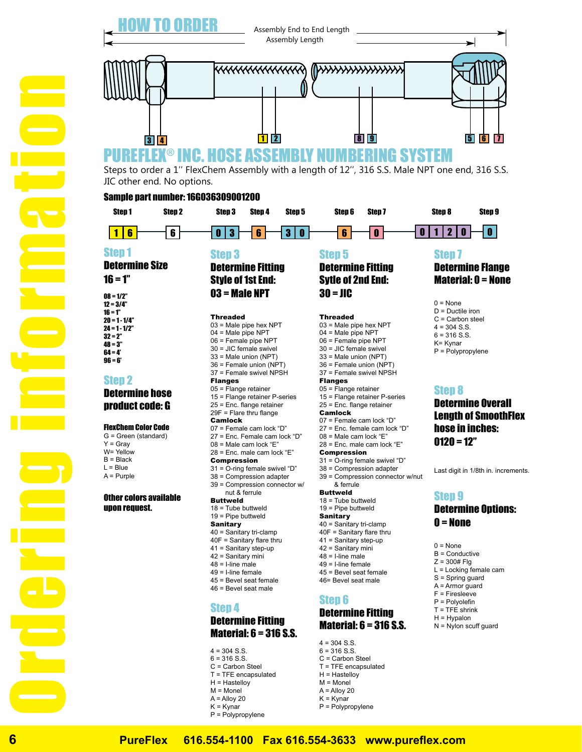

#### Step 1

- Determine Size
- $16 = 1"$
- $08 = 1/2"$  $12 = 3/4"$  $16 = 1"$  $20 = 1 - 1/4"$  $24 = 1 - 1/2"$  $32 - 2"$  $48 = 3"$ 64 = 4'  $96 = 6'$

#### Step 2

Ordering information

# Determine hose product code: G

#### FlexChem Color Code

G = Green (standard)  $Y = Gray$ W= Yellow  $B = Black$  $L =$ Blue A = Purple

#### Other colors available upon request.

Step 3

Determine Fitting Style of 1st End: 03 = Male NPT

Threaded 03 = Male pipe hex NPT 04 = Male pipe NPT 06 = Female pipe NPT 30 = JIC female swivel 33 = Male union (NPT) 36 = Female union (NPT) 37 = Female swivel NPSH **Flanges** 05 = Flange retainer 15 = Flange retainer P-series 25 = Enc. flange retainer 29F = Flare thru flange Camlock 07 = Female cam lock "D" 27 = Enc. Female cam lock "D"  $08$  = Male cam lock "E"  $28$  = Enc. male cam lock "F" Compression 31 = O-ring female swivel "D" 38 = Compression adapter 39 = Compression connector w/ nut & ferrule Buttweld 18 = Tube buttweld 19 = Pipe buttweld **Sanitary** 40 = Sanitary tri-clamp 40F = Sanitary flare thru 41 = Sanitary step-up 42 = Sanitary mini  $48 = 1$ -line male 49 = I-line female 45 = Bevel seat female 46 = Bevel seat male Step 4

# Determine Fitting Material: 6 = 316 S.S.

- $4 = 304$  S.S.
- $6 = 316$  S.S.
- C = Carbon Steel
- T = TFE encapsulated
- H = Hastelloy
- $M = Monel$
- $A =$  Alloy 20
- K = Kynar
- P = Polypropylene

#### Step 5 Determine Fitting

# Sytle of 2nd End: 30 = JIC

#### Threaded

03 = Male pipe hex NPT 04 = Male pipe NPT 06 = Female pipe NPT 30 = JIC female swivel 33 = Male union (NPT) 36 = Female union (NPT) 37 = Female swivel NPSH Flanges 05 = Flange retainer 15 = Flange retainer P-series 25 = Enc. flange retainer Camlock 07 = Female cam lock "D" 27 = Enc. female cam lock "D" 08 = Male cam lock "E"  $28$  = Enc. male cam lock "E" Compression 31 = O-ring female swivel "D" 38 = Compression adapter 39 = Compression connector w/nut & ferrule **Buttweld** 18 = Tube buttweld 19 = Pipe buttweld **Sanitary** 40 = Sanitary tri-clamp 40F = Sanitary flare thru 41 = Sanitary step-up 42 = Sanitary mini  $48 = 1$ -line male 49 = I-line female 45 = Bevel seat female 46= Bevel seat male

#### Step 6

# Determine Fitting Material: 6 = 316 S.S.

 $4 = 304$  S.S.  $6 = 316 S.S$ C = Carbon Steel T = TFE encapsulated H = Hastelloy  $M =$  Monel

- $A =$  Alloy 20
- $K =$  Kynar
- P = Polypropylene

# Step 7 Determine Flange Material: 0 = None

 $0 = None$ D = Ductile iron C = Carbon steel  $4 = 304$  S.S.  $6 = 316$  S.S. K= Kynar P = Polypropylene

# Step 8

Determine Overall Length of SmoothFlex hose in inches:  $$ 

Last digit in 1/8th in. increments.

## Step 9 Determine Options:  $0 =$  None

 $0 = None$ B = Conductive  $Z = 300#$  Flg L = Locking female cam S = Spring guard A = Armor guard F = Firesleeve P = Polyolefin  $T = TFE$  shrink

- $H = Hv$ palon
- N = Nylon scuff guard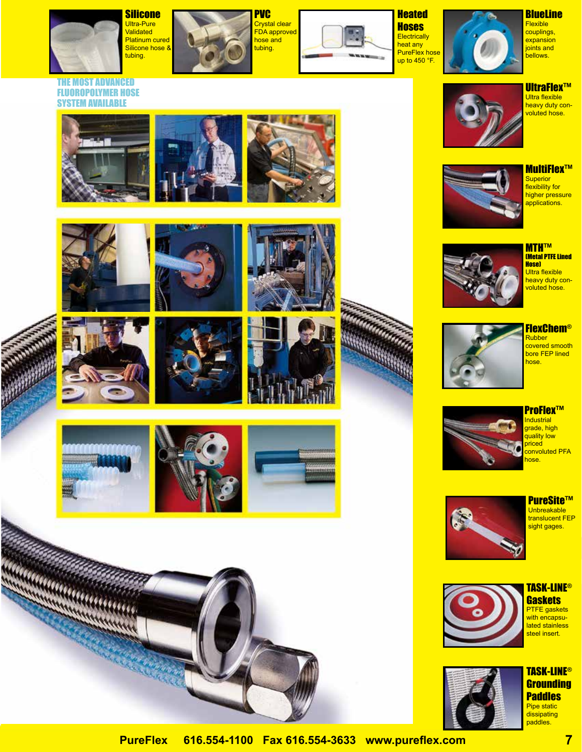

THE MOST ADVANCED FLUOROPOLYMER HOSE SYSTEM AVAILABLE

**Silicone** Ultra-Pure **Validated** Platinum cured Silicone hose & tubing.



PVC Crystal clear FDA approved hose and tubing.



**Heated Hoses Electrically** heat any PureFlex hose up to 450 °F.



**BlueLine Flexible** couplings, expansion joints and bellows.



**UltraFlex™** Ultra flexible heavy duty convoluted hose.



MultiFlex™ **Superior** flexibility for higher pressure applications.

MTH™ (Metal PTFE Lined Hose) Ultra flexible heavy duty convoluted hose.

























FlexChem® Rubber covered smooth

bore FEP lined hose.



**Industrial** grade, high quality low priced convoluted PFA hose.



PureSite™ Unbreakable translucent FEP sight gages.





TASK-LINE® **Gaskets** 



TASK-LINE® **Grounding Paddles** Pipe static dissipating paddles.

**PureFlex 616.554-1100 Fax 616.554-3633 www.pureflex.com 7**